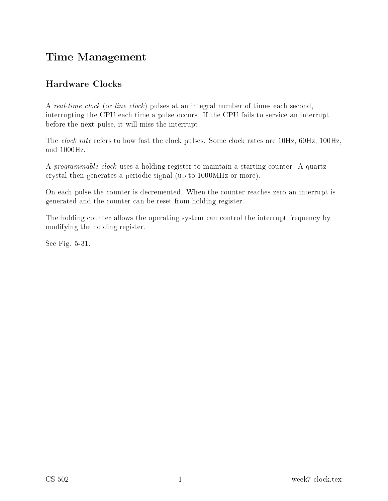## Time Management

## **Hardware Clocks**

A real-time clock (or line clock) pulses at an integral number of times each second, interrupting the CPU each time a pulse occurs. If the CPU fails to service an interrupt before the next pulse, it will miss the interrupt.

The *clock rate* refers to how fast the clock pulses. Some clock rates are 10Hz, 60Hz, 100Hz, and 1000Hz.

A *programmable clock* uses a holding register to maintain a starting counter. A quartz crystal then generates a periodic signal (up to 1000MHz or more).

On each pulse the counter is decremented. When the counter reaches zero an interrupt is generated and the ounter an be reset from holding register.

The holding counter allows the operating system can control the interrupt frequency by modifying the holding register.

See Fig. 5-31.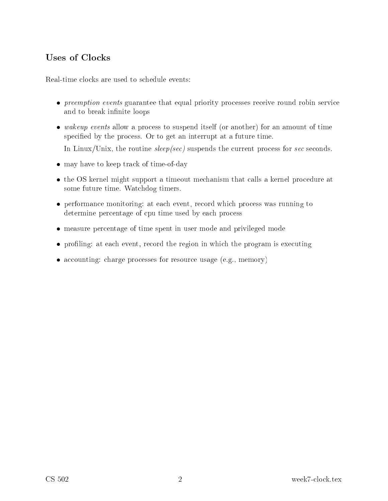Real-time lo
ks are used to s
hedule events:

- *preemption events* guarantee that equal priority processes receive round robin service and to break infinite loops
- wakeup events allow a process to suspend itself (or another) for an amount of time specified by the process. Or to get an interrupt at a future time.

In Linux/Unix, the routine  $sleep/sec)$  suspends the current process for sec seconds.

- may have to keep track of time-of-day
- the OS kernel might support a timeout mechanism that calls a kernel procedure at some future time. Wat
hdog timers.
- performance monitoring: at each event, record which process was running to determine percentage of cpu time used by each process
- measure percentage of time spent in user mode and privileged mode
- profiling: at each event, record the region in which the program is executing
- accounting: charge processes for resource usage (e.g., memory)